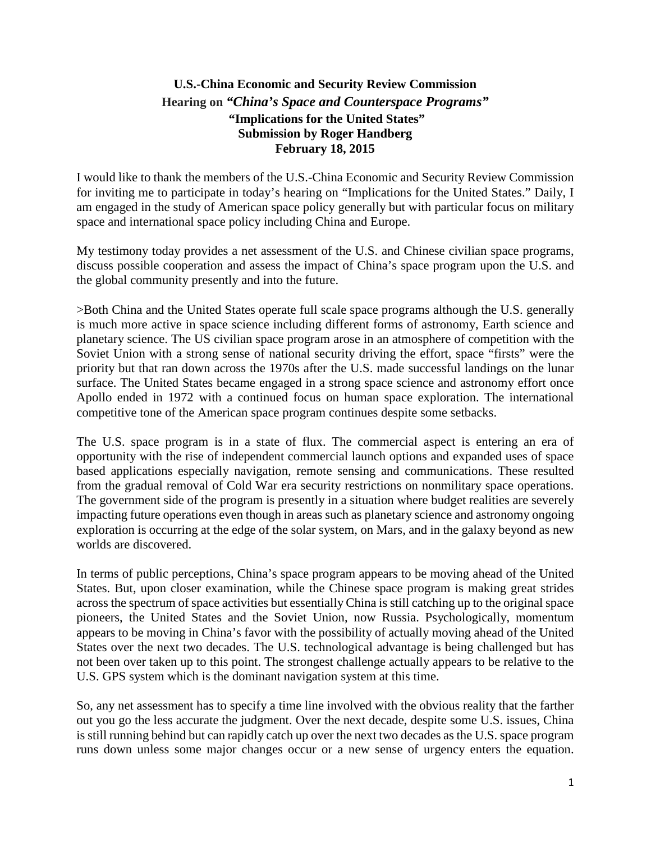## **U.S.-China Economic and Security Review Commission Hearing on** *"China's Space and Counterspace Programs"* **"Implications for the United States" Submission by Roger Handberg February 18, 2015**

I would like to thank the members of the U.S.-China Economic and Security Review Commission for inviting me to participate in today's hearing on "Implications for the United States." Daily, I am engaged in the study of American space policy generally but with particular focus on military space and international space policy including China and Europe.

My testimony today provides a net assessment of the U.S. and Chinese civilian space programs, discuss possible cooperation and assess the impact of China's space program upon the U.S. and the global community presently and into the future.

>Both China and the United States operate full scale space programs although the U.S. generally is much more active in space science including different forms of astronomy, Earth science and planetary science. The US civilian space program arose in an atmosphere of competition with the Soviet Union with a strong sense of national security driving the effort, space "firsts" were the priority but that ran down across the 1970s after the U.S. made successful landings on the lunar surface. The United States became engaged in a strong space science and astronomy effort once Apollo ended in 1972 with a continued focus on human space exploration. The international competitive tone of the American space program continues despite some setbacks.

The U.S. space program is in a state of flux. The commercial aspect is entering an era of opportunity with the rise of independent commercial launch options and expanded uses of space based applications especially navigation, remote sensing and communications. These resulted from the gradual removal of Cold War era security restrictions on nonmilitary space operations. The government side of the program is presently in a situation where budget realities are severely impacting future operations even though in areas such as planetary science and astronomy ongoing exploration is occurring at the edge of the solar system, on Mars, and in the galaxy beyond as new worlds are discovered.

In terms of public perceptions, China's space program appears to be moving ahead of the United States. But, upon closer examination, while the Chinese space program is making great strides across the spectrum of space activities but essentially China is still catching up to the original space pioneers, the United States and the Soviet Union, now Russia. Psychologically, momentum appears to be moving in China's favor with the possibility of actually moving ahead of the United States over the next two decades. The U.S. technological advantage is being challenged but has not been over taken up to this point. The strongest challenge actually appears to be relative to the U.S. GPS system which is the dominant navigation system at this time.

So, any net assessment has to specify a time line involved with the obvious reality that the farther out you go the less accurate the judgment. Over the next decade, despite some U.S. issues, China is still running behind but can rapidly catch up over the next two decades as the U.S. space program runs down unless some major changes occur or a new sense of urgency enters the equation.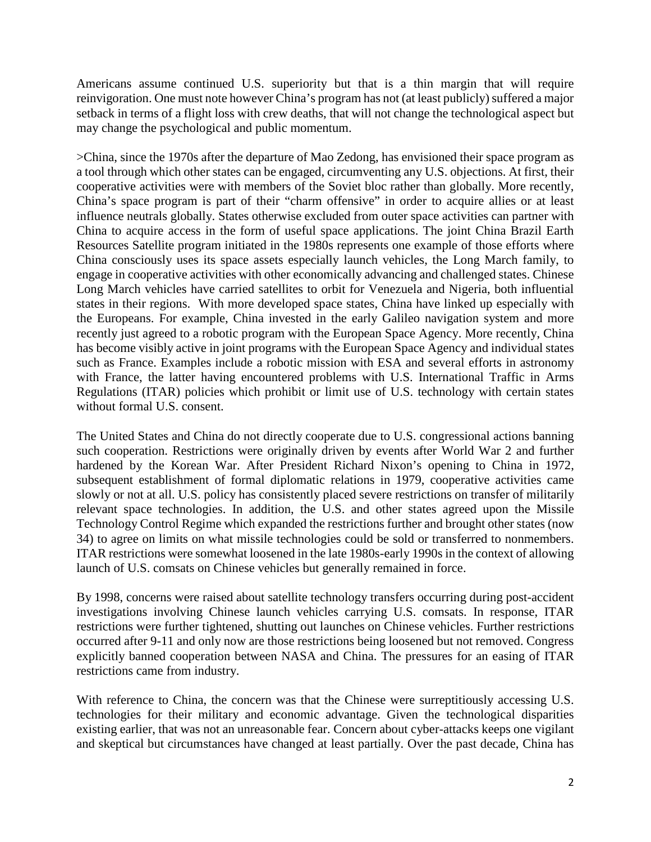Americans assume continued U.S. superiority but that is a thin margin that will require reinvigoration. One must note however China's program has not (at least publicly) suffered a major setback in terms of a flight loss with crew deaths, that will not change the technological aspect but may change the psychological and public momentum.

>China, since the 1970s after the departure of Mao Zedong, has envisioned their space program as a tool through which other states can be engaged, circumventing any U.S. objections. At first, their cooperative activities were with members of the Soviet bloc rather than globally. More recently, China's space program is part of their "charm offensive" in order to acquire allies or at least influence neutrals globally. States otherwise excluded from outer space activities can partner with China to acquire access in the form of useful space applications. The joint China Brazil Earth Resources Satellite program initiated in the 1980s represents one example of those efforts where China consciously uses its space assets especially launch vehicles, the Long March family, to engage in cooperative activities with other economically advancing and challenged states. Chinese Long March vehicles have carried satellites to orbit for Venezuela and Nigeria, both influential states in their regions. With more developed space states, China have linked up especially with the Europeans. For example, China invested in the early Galileo navigation system and more recently just agreed to a robotic program with the European Space Agency. More recently, China has become visibly active in joint programs with the European Space Agency and individual states such as France. Examples include a robotic mission with ESA and several efforts in astronomy with France, the latter having encountered problems with U.S. International Traffic in Arms Regulations (ITAR) policies which prohibit or limit use of U.S. technology with certain states without formal U.S. consent.

The United States and China do not directly cooperate due to U.S. congressional actions banning such cooperation. Restrictions were originally driven by events after World War 2 and further hardened by the Korean War. After President Richard Nixon's opening to China in 1972, subsequent establishment of formal diplomatic relations in 1979, cooperative activities came slowly or not at all. U.S. policy has consistently placed severe restrictions on transfer of militarily relevant space technologies. In addition, the U.S. and other states agreed upon the Missile Technology Control Regime which expanded the restrictions further and brought other states (now 34) to agree on limits on what missile technologies could be sold or transferred to nonmembers. ITAR restrictions were somewhat loosened in the late 1980s-early 1990s in the context of allowing launch of U.S. comsats on Chinese vehicles but generally remained in force.

By 1998, concerns were raised about satellite technology transfers occurring during post-accident investigations involving Chinese launch vehicles carrying U.S. comsats. In response, ITAR restrictions were further tightened, shutting out launches on Chinese vehicles. Further restrictions occurred after 9-11 and only now are those restrictions being loosened but not removed. Congress explicitly banned cooperation between NASA and China. The pressures for an easing of ITAR restrictions came from industry.

With reference to China, the concern was that the Chinese were surreptitiously accessing U.S. technologies for their military and economic advantage. Given the technological disparities existing earlier, that was not an unreasonable fear. Concern about cyber-attacks keeps one vigilant and skeptical but circumstances have changed at least partially. Over the past decade, China has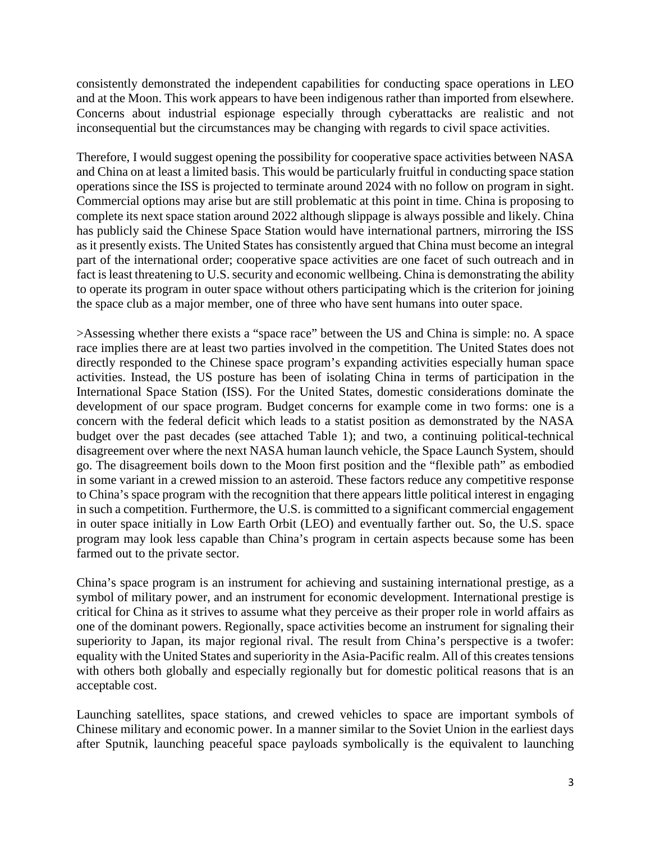consistently demonstrated the independent capabilities for conducting space operations in LEO and at the Moon. This work appears to have been indigenous rather than imported from elsewhere. Concerns about industrial espionage especially through cyberattacks are realistic and not inconsequential but the circumstances may be changing with regards to civil space activities.

Therefore, I would suggest opening the possibility for cooperative space activities between NASA and China on at least a limited basis. This would be particularly fruitful in conducting space station operations since the ISS is projected to terminate around 2024 with no follow on program in sight. Commercial options may arise but are still problematic at this point in time. China is proposing to complete its next space station around 2022 although slippage is always possible and likely. China has publicly said the Chinese Space Station would have international partners, mirroring the ISS as it presently exists. The United States has consistently argued that China must become an integral part of the international order; cooperative space activities are one facet of such outreach and in fact is least threatening to U.S. security and economic wellbeing. China is demonstrating the ability to operate its program in outer space without others participating which is the criterion for joining the space club as a major member, one of three who have sent humans into outer space.

>Assessing whether there exists a "space race" between the US and China is simple: no. A space race implies there are at least two parties involved in the competition. The United States does not directly responded to the Chinese space program's expanding activities especially human space activities. Instead, the US posture has been of isolating China in terms of participation in the International Space Station (ISS). For the United States, domestic considerations dominate the development of our space program. Budget concerns for example come in two forms: one is a concern with the federal deficit which leads to a statist position as demonstrated by the NASA budget over the past decades (see attached Table 1); and two, a continuing political-technical disagreement over where the next NASA human launch vehicle, the Space Launch System, should go. The disagreement boils down to the Moon first position and the "flexible path" as embodied in some variant in a crewed mission to an asteroid. These factors reduce any competitive response to China's space program with the recognition that there appears little political interest in engaging in such a competition. Furthermore, the U.S. is committed to a significant commercial engagement in outer space initially in Low Earth Orbit (LEO) and eventually farther out. So, the U.S. space program may look less capable than China's program in certain aspects because some has been farmed out to the private sector.

China's space program is an instrument for achieving and sustaining international prestige, as a symbol of military power, and an instrument for economic development. International prestige is critical for China as it strives to assume what they perceive as their proper role in world affairs as one of the dominant powers. Regionally, space activities become an instrument for signaling their superiority to Japan, its major regional rival. The result from China's perspective is a twofer: equality with the United States and superiority in the Asia-Pacific realm. All of this creates tensions with others both globally and especially regionally but for domestic political reasons that is an acceptable cost.

Launching satellites, space stations, and crewed vehicles to space are important symbols of Chinese military and economic power. In a manner similar to the Soviet Union in the earliest days after Sputnik, launching peaceful space payloads symbolically is the equivalent to launching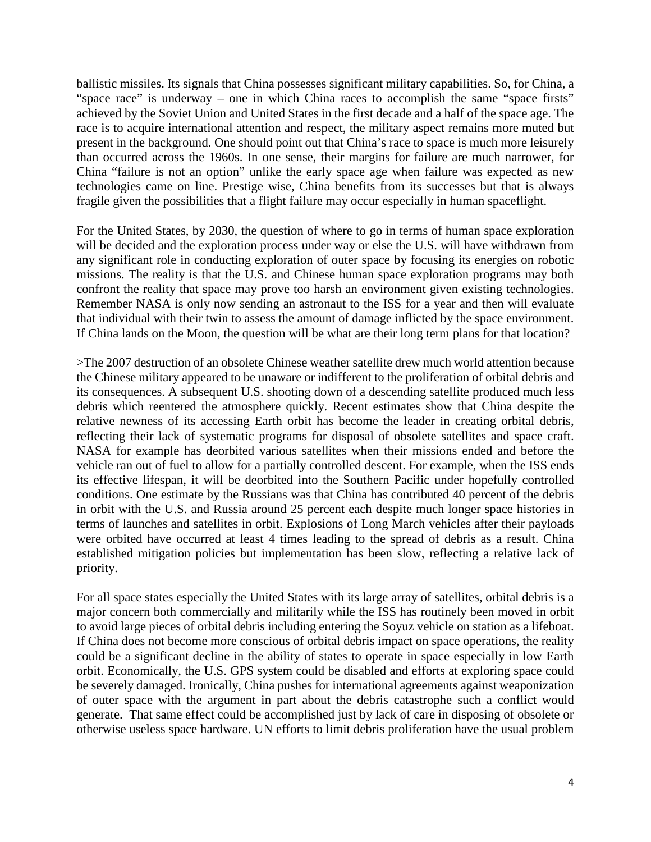ballistic missiles. Its signals that China possesses significant military capabilities. So, for China, a "space race" is underway – one in which China races to accomplish the same "space firsts" achieved by the Soviet Union and United States in the first decade and a half of the space age. The race is to acquire international attention and respect, the military aspect remains more muted but present in the background. One should point out that China's race to space is much more leisurely than occurred across the 1960s. In one sense, their margins for failure are much narrower, for China "failure is not an option" unlike the early space age when failure was expected as new technologies came on line. Prestige wise, China benefits from its successes but that is always fragile given the possibilities that a flight failure may occur especially in human spaceflight.

For the United States, by 2030, the question of where to go in terms of human space exploration will be decided and the exploration process under way or else the U.S. will have withdrawn from any significant role in conducting exploration of outer space by focusing its energies on robotic missions. The reality is that the U.S. and Chinese human space exploration programs may both confront the reality that space may prove too harsh an environment given existing technologies. Remember NASA is only now sending an astronaut to the ISS for a year and then will evaluate that individual with their twin to assess the amount of damage inflicted by the space environment. If China lands on the Moon, the question will be what are their long term plans for that location?

>The 2007 destruction of an obsolete Chinese weather satellite drew much world attention because the Chinese military appeared to be unaware or indifferent to the proliferation of orbital debris and its consequences. A subsequent U.S. shooting down of a descending satellite produced much less debris which reentered the atmosphere quickly. Recent estimates show that China despite the relative newness of its accessing Earth orbit has become the leader in creating orbital debris, reflecting their lack of systematic programs for disposal of obsolete satellites and space craft. NASA for example has deorbited various satellites when their missions ended and before the vehicle ran out of fuel to allow for a partially controlled descent. For example, when the ISS ends its effective lifespan, it will be deorbited into the Southern Pacific under hopefully controlled conditions. One estimate by the Russians was that China has contributed 40 percent of the debris in orbit with the U.S. and Russia around 25 percent each despite much longer space histories in terms of launches and satellites in orbit. Explosions of Long March vehicles after their payloads were orbited have occurred at least 4 times leading to the spread of debris as a result. China established mitigation policies but implementation has been slow, reflecting a relative lack of priority.

For all space states especially the United States with its large array of satellites, orbital debris is a major concern both commercially and militarily while the ISS has routinely been moved in orbit to avoid large pieces of orbital debris including entering the Soyuz vehicle on station as a lifeboat. If China does not become more conscious of orbital debris impact on space operations, the reality could be a significant decline in the ability of states to operate in space especially in low Earth orbit. Economically, the U.S. GPS system could be disabled and efforts at exploring space could be severely damaged. Ironically, China pushes for international agreements against weaponization of outer space with the argument in part about the debris catastrophe such a conflict would generate. That same effect could be accomplished just by lack of care in disposing of obsolete or otherwise useless space hardware. UN efforts to limit debris proliferation have the usual problem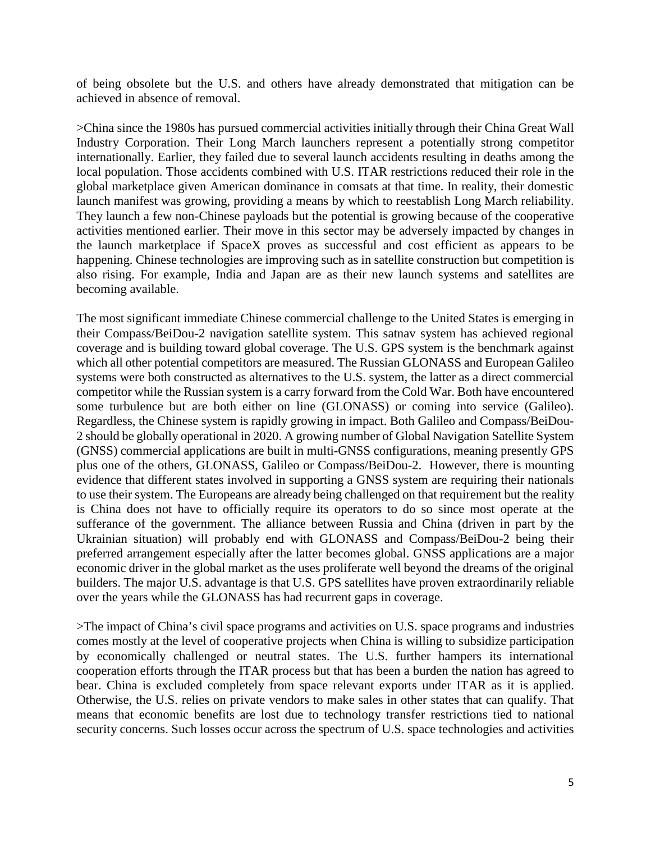of being obsolete but the U.S. and others have already demonstrated that mitigation can be achieved in absence of removal.

>China since the 1980s has pursued commercial activities initially through their China Great Wall Industry Corporation. Their Long March launchers represent a potentially strong competitor internationally. Earlier, they failed due to several launch accidents resulting in deaths among the local population. Those accidents combined with U.S. ITAR restrictions reduced their role in the global marketplace given American dominance in comsats at that time. In reality, their domestic launch manifest was growing, providing a means by which to reestablish Long March reliability. They launch a few non-Chinese payloads but the potential is growing because of the cooperative activities mentioned earlier. Their move in this sector may be adversely impacted by changes in the launch marketplace if SpaceX proves as successful and cost efficient as appears to be happening. Chinese technologies are improving such as in satellite construction but competition is also rising. For example, India and Japan are as their new launch systems and satellites are becoming available.

The most significant immediate Chinese commercial challenge to the United States is emerging in their Compass/BeiDou-2 navigation satellite system. This satnav system has achieved regional coverage and is building toward global coverage. The U.S. GPS system is the benchmark against which all other potential competitors are measured. The Russian GLONASS and European Galileo systems were both constructed as alternatives to the U.S. system, the latter as a direct commercial competitor while the Russian system is a carry forward from the Cold War. Both have encountered some turbulence but are both either on line (GLONASS) or coming into service (Galileo). Regardless, the Chinese system is rapidly growing in impact. Both Galileo and Compass/BeiDou-2 should be globally operational in 2020. A growing number of Global Navigation Satellite System (GNSS) commercial applications are built in multi-GNSS configurations, meaning presently GPS plus one of the others, GLONASS, Galileo or Compass/BeiDou-2. However, there is mounting evidence that different states involved in supporting a GNSS system are requiring their nationals to use their system. The Europeans are already being challenged on that requirement but the reality is China does not have to officially require its operators to do so since most operate at the sufferance of the government. The alliance between Russia and China (driven in part by the Ukrainian situation) will probably end with GLONASS and Compass/BeiDou-2 being their preferred arrangement especially after the latter becomes global. GNSS applications are a major economic driver in the global market as the uses proliferate well beyond the dreams of the original builders. The major U.S. advantage is that U.S. GPS satellites have proven extraordinarily reliable over the years while the GLONASS has had recurrent gaps in coverage.

>The impact of China's civil space programs and activities on U.S. space programs and industries comes mostly at the level of cooperative projects when China is willing to subsidize participation by economically challenged or neutral states. The U.S. further hampers its international cooperation efforts through the ITAR process but that has been a burden the nation has agreed to bear. China is excluded completely from space relevant exports under ITAR as it is applied. Otherwise, the U.S. relies on private vendors to make sales in other states that can qualify. That means that economic benefits are lost due to technology transfer restrictions tied to national security concerns. Such losses occur across the spectrum of U.S. space technologies and activities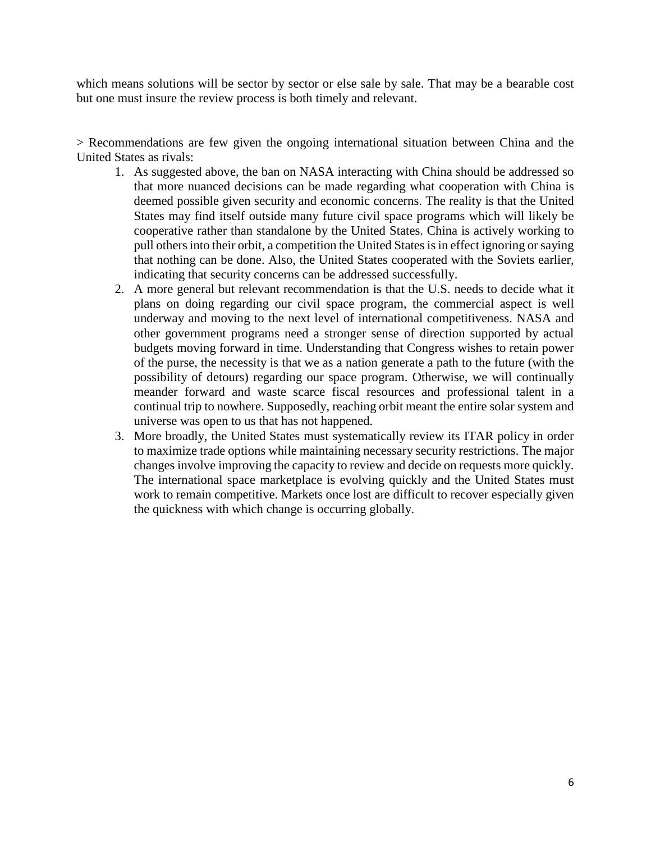which means solutions will be sector by sector or else sale by sale. That may be a bearable cost but one must insure the review process is both timely and relevant.

> Recommendations are few given the ongoing international situation between China and the United States as rivals:

- 1. As suggested above, the ban on NASA interacting with China should be addressed so that more nuanced decisions can be made regarding what cooperation with China is deemed possible given security and economic concerns. The reality is that the United States may find itself outside many future civil space programs which will likely be cooperative rather than standalone by the United States. China is actively working to pull others into their orbit, a competition the United States is in effect ignoring or saying that nothing can be done. Also, the United States cooperated with the Soviets earlier, indicating that security concerns can be addressed successfully.
- 2. A more general but relevant recommendation is that the U.S. needs to decide what it plans on doing regarding our civil space program, the commercial aspect is well underway and moving to the next level of international competitiveness. NASA and other government programs need a stronger sense of direction supported by actual budgets moving forward in time. Understanding that Congress wishes to retain power of the purse, the necessity is that we as a nation generate a path to the future (with the possibility of detours) regarding our space program. Otherwise, we will continually meander forward and waste scarce fiscal resources and professional talent in a continual trip to nowhere. Supposedly, reaching orbit meant the entire solar system and universe was open to us that has not happened.
- 3. More broadly, the United States must systematically review its ITAR policy in order to maximize trade options while maintaining necessary security restrictions. The major changes involve improving the capacity to review and decide on requests more quickly. The international space marketplace is evolving quickly and the United States must work to remain competitive. Markets once lost are difficult to recover especially given the quickness with which change is occurring globally.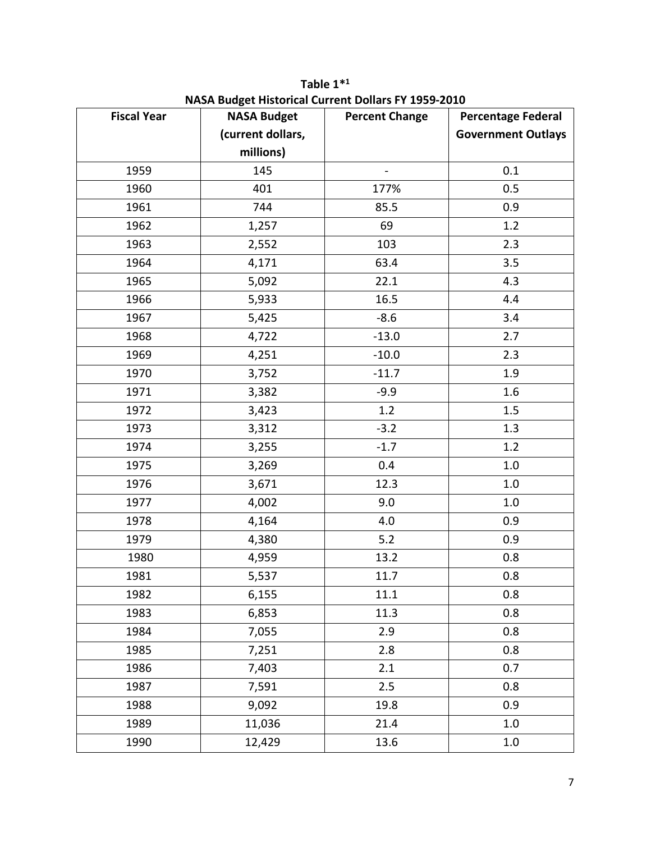| <b>Fiscal Year</b> | <b>NASA Budget</b> | <b>Percent Change</b> | <b>Percentage Federal</b> |
|--------------------|--------------------|-----------------------|---------------------------|
|                    | (current dollars,  |                       | <b>Government Outlays</b> |
|                    | millions)          |                       |                           |
| 1959               | 145                | $\blacksquare$        | 0.1                       |
| 1960               | 401                | 177%                  | 0.5                       |
| 1961               | 744                | 85.5                  | 0.9                       |
| 1962               | 1,257              | 69                    | 1.2                       |
| 1963               | 2,552              | 103                   | 2.3                       |
| 1964               | 4,171              | 63.4                  | 3.5                       |
| 1965               | 5,092              | 22.1                  | 4.3                       |
| 1966               | 5,933              | 16.5                  | 4.4                       |
| 1967               | 5,425              | $-8.6$                | 3.4                       |
| 1968               | 4,722              | $-13.0$               | 2.7                       |
| 1969               | 4,251              | $-10.0$               | 2.3                       |
| 1970               | 3,752              | $-11.7$               | 1.9                       |
| 1971               | 3,382              | $-9.9$                | 1.6                       |
| 1972               | 3,423              | 1.2                   | 1.5                       |
| 1973               | 3,312              | $-3.2$                | 1.3                       |
| 1974               | 3,255              | $-1.7$                | 1.2                       |
| 1975               | 3,269              | 0.4                   | 1.0                       |
| 1976               | 3,671              | 12.3                  | 1.0                       |
| 1977               | 4,002              | 9.0                   | $1.0$                     |
| 1978               | 4,164              | 4.0                   | 0.9                       |
| 1979               | 4,380              | 5.2                   | 0.9                       |
| 1980               | 4,959              | 13.2                  | 0.8                       |
| 1981               | 5,537              | 11.7                  | 0.8                       |
| 1982               | 6,155              | $11.1\,$              | 0.8                       |
| 1983               | 6,853              | 11.3                  | 0.8                       |
| 1984               | 7,055              | 2.9                   | 0.8                       |
| 1985               | 7,251              | 2.8                   | 0.8                       |
| 1986               | 7,403              | 2.1                   | 0.7                       |
| 1987               | 7,591              | 2.5                   | 0.8                       |
| 1988               | 9,092              | 19.8                  | 0.9                       |
| 1989               | 11,036             | 21.4                  | 1.0                       |
| 1990               | 12,429             | 13.6                  | $1.0\,$                   |

**Table 1\*1 NASA Budget Historical Current Dollars FY 1959-2010**